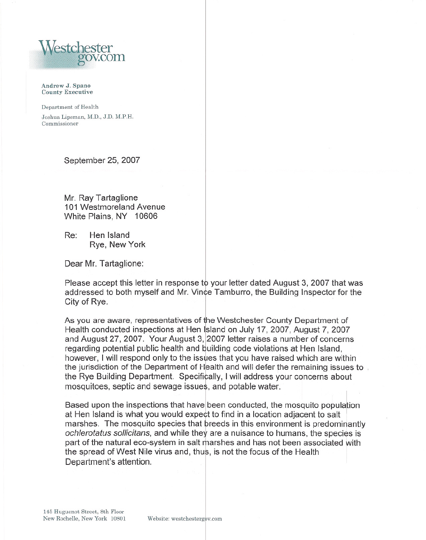

## Andrew J. Spano County Executive

Department of Health Joshua Lipsman, M.D., J.D. M.P.H. Commissioner

September 25, 2007

Mr. Ray Tartaglione 101 Westmoreland Avenue White Plains, NY 10606

Re: Hen Island Rye, New York

Dear Mr. Tartaglione:

Please accept this letter in response to your letter dated August 3, 2007 that was addressed to both myself and Mr. Vin¢e Tamburro, the Building Inspector for the City of Rye.

As you are aware, representatives of he Westchester County Department of Health conducted inspections at Hen Island on July 17, 2007, August 7, 2007 and August 27, 2007. Your August 3, 2007 letter raises a number of concerns regarding potential public health and building code violations at Hen Island, however, I will respond only to the issues that you have raised which are within the jurisdiction of the Department of Health and will defer the remaining issues to mosquitoes, septic and sewage issues, and potable water. the Rve Building Department. Specifically, I will address your concerns about

Based upon the inspections that have been conducted, the mosquito population at Hen Island is what you would expect to find in a location adiacent to salt at Hen Island is what you would expect to find in a location adjacent to sait marshes. The mosquito species that breeds in this environment is predominantl ochlerotatus sollicitans, and while they are a nuisance to humans, the species is part of the natural eco-system in salt marshes and has not been associated with the spread of West Nile virus and, thus, is not the focus of the Health the partment's attention.<br>Shes , in salt thus has not of the and-of the and-of the and-of the and focus has not of the and focus has no